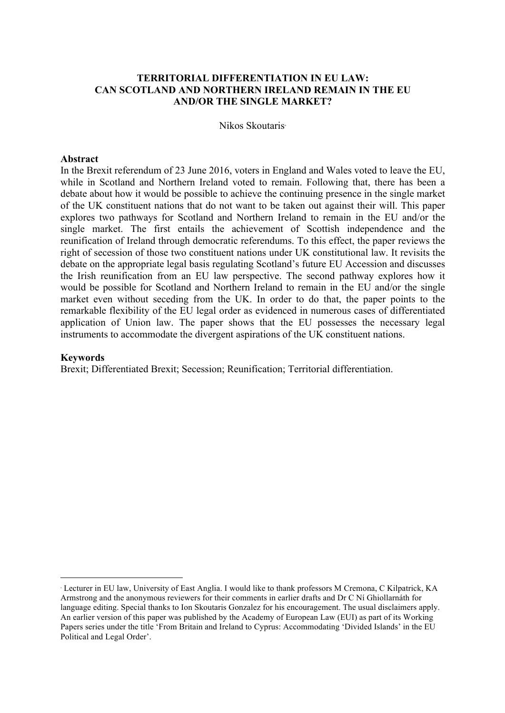# **TERRITORIAL DIFFERENTIATION IN EU LAW: CAN SCOTLAND AND NORTHERN IRELAND REMAIN IN THE EU AND/OR THE SINGLE MARKET?**

Nikos Skoutaris<sup>∗</sup>

#### **Abstract**

In the Brexit referendum of 23 June 2016, voters in England and Wales voted to leave the EU, while in Scotland and Northern Ireland voted to remain. Following that, there has been a debate about how it would be possible to achieve the continuing presence in the single market of the UK constituent nations that do not want to be taken out against their will. This paper explores two pathways for Scotland and Northern Ireland to remain in the EU and/or the single market. The first entails the achievement of Scottish independence and the reunification of Ireland through democratic referendums. To this effect, the paper reviews the right of secession of those two constituent nations under UK constitutional law. It revisits the debate on the appropriate legal basis regulating Scotland's future EU Accession and discusses the Irish reunification from an EU law perspective. The second pathway explores how it would be possible for Scotland and Northern Ireland to remain in the EU and/or the single market even without seceding from the UK. In order to do that, the paper points to the remarkable flexibility of the EU legal order as evidenced in numerous cases of differentiated application of Union law. The paper shows that the EU possesses the necessary legal instruments to accommodate the divergent aspirations of the UK constituent nations.

#### **Keywords**

l

Brexit; Differentiated Brexit; Secession; Reunification; Territorial differentiation.

<sup>∗</sup> Lecturer in EU law, University of East Anglia. I would like to thank professors M Cremona, C Kilpatrick, KA Armstrong and the anonymous reviewers for their comments in earlier drafts and Dr C Ní Ghiollarnáth for language editing. Special thanks to Ion Skoutaris Gonzalez for his encouragement. The usual disclaimers apply. An earlier version of this paper was published by the Academy of European Law (EUI) as part of its Working Papers series under the title 'From Britain and Ireland to Cyprus: Accommodating 'Divided Islands' in the EU Political and Legal Order'.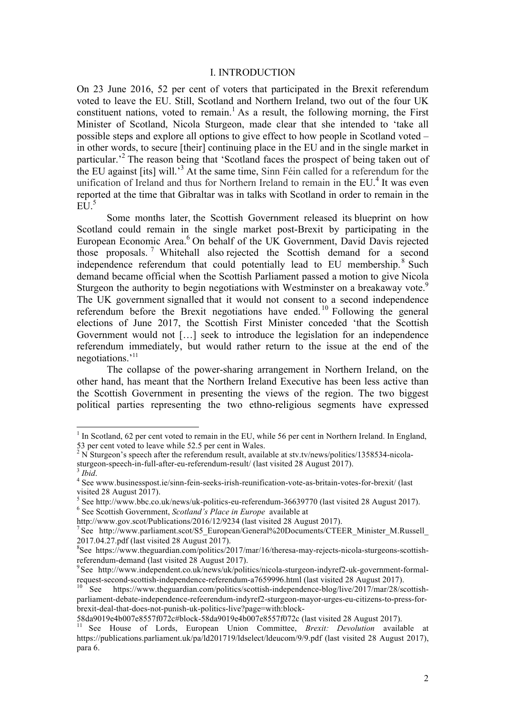# I. INTRODUCTION

On 23 June 2016, 52 per cent of voters that participated in the Brexit referendum voted to leave the EU. Still, Scotland and Northern Ireland, two out of the four UK constituent nations, voted to remain.<sup>1</sup> As a result, the following morning, the First Minister of Scotland, Nicola Sturgeon, made clear that she intended to 'take all possible steps and explore all options to give effect to how people in Scotland voted – in other words, to secure [their] continuing place in the EU and in the single market in particular.'<sup>2</sup> The reason being that 'Scotland faces the prospect of being taken out of the EU against [its] will.'<sup>3</sup> At the same time, Sinn Féin called for a referendum for the unification of Ireland and thus for Northern Ireland to remain in the  $EU<sup>4</sup>$  It was even reported at the time that Gibraltar was in talks with Scotland in order to remain in the  $EU^5$ 

Some months later, the Scottish Government released its blueprint on how Scotland could remain in the single market post-Brexit by participating in the European Economic Area. <sup>6</sup> On behalf of the UK Government, David Davis rejected those proposals. <sup>7</sup> Whitehall also rejected the Scottish demand for a second independence referendum that could potentially lead to EU membership.<sup>8</sup> Such demand became official when the Scottish Parliament passed a motion to give Nicola Sturgeon the authority to begin negotiations with Westminster on a breakaway vote.<sup>9</sup> The UK government signalled that it would not consent to a second independence referendum before the Brexit negotiations have ended. <sup>10</sup> Following the general elections of June 2017, the Scottish First Minister conceded 'that the Scottish Government would not […] seek to introduce the legislation for an independence referendum immediately, but would rather return to the issue at the end of the negotiations.<sup>'11</sup>

The collapse of the power-sharing arrangement in Northern Ireland, on the other hand, has meant that the Northern Ireland Executive has been less active than the Scottish Government in presenting the views of the region. The two biggest political parties representing the two ethno-religious segments have expressed

 $1$  In Scotland, 62 per cent voted to remain in the EU, while 56 per cent in Northern Ireland. In England, 53 per cent voted to leave while 52.5 per cent in Wales.

 $2 \text{ N}$  Sturgeon's speech after the referendum result, available at stv.tv/news/politics/1358534-nicolasturgeon-speech-in-full-after-eu-referendum-result/ (last visited 28 August 2017).<br><sup>3</sup> *Ibid*. 4 See www.businesspost.ie/sinn-fein-seeks-irish-reunification-vote-as-britain-votes-for-brexit/ (last 4 See www.businesspost.ie

visited 28 August 2017).<br><sup>5</sup> See http://www.bbc.co.uk/news/uk-politics-eu-referendum-36639770 (last visited 28 August 2017).<br><sup>6</sup> See Scottish Government, *Scotland's Place in Europe* available at

http://www.gov.scot/Publications/2016/12/9234 (last visited 28 August 2017).<br><sup>7</sup> See http://www.parliament.scot/S5 European/General%20Documents/CTEER\_Minister\_M.Russell\_ 2017.04.27.pdf (last visited 28 August 2017).

 ${}^{8}$ See https://www.theguardian.com/politics/2017/mar/16/theresa-may-rejects-nicola-sturgeons-scottish-

referendum-demand (last visited 28 August 2017).<br><sup>9</sup>See http://www.independent.co.uk/news/uk/politics/nicola-sturgeon-indyref2-uk-government-formal-<br>request-second-scottish-independence-referendum-a7659996.html (last visit

 $\frac{10^{10} \text{K}}{10}$  See https://www.theguardian.com/politics/scottish-independence-blog/live/2017/mar/28/scottishparliament-debate-independence-refeerendum-indyref2-sturgeon-mayor-urges-eu-citizens-to-press-forbrexit-deal-that-does-not-punish-uk-politics-live?page=with:block-<br>58da9019e4b007e8557f072c#block-58da9019e4b007e8557f072c (last visited 28 August 2017).

<sup>58</sup>da9019e4b007e8557f072c#block-58da9019e4b007e8557f072c (last visited 28 August 2017). <sup>11</sup> See House of Lords, European Union Committee, *Brexit: Devolution* available at https://publications.parliament.uk/pa/ld201719/ldselect/ldeucom/9/9.pdf (last visited 28 August 2017), para 6.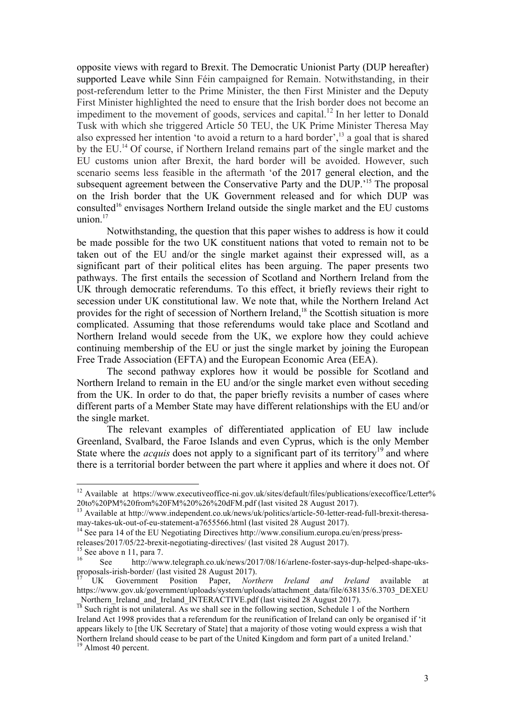opposite views with regard to Brexit. The Democratic Unionist Party (DUP hereafter) supported Leave while Sinn Féin campaigned for Remain. Notwithstanding, in their post-referendum letter to the Prime Minister, the then First Minister and the Deputy First Minister highlighted the need to ensure that the Irish border does not become an impediment to the movement of goods, services and capital.<sup>12</sup> In her letter to Donald Tusk with which she triggered Article 50 TEU, the UK Prime Minister Theresa May also expressed her intention 'to avoid a return to a hard border', <sup>13</sup> a goal that is shared by the EU.14 Of course, if Northern Ireland remains part of the single market and the EU customs union after Brexit, the hard border will be avoided. However, such scenario seems less feasible in the aftermath 'of the 2017 general election, and the subsequent agreement between the Conservative Party and the DUP.<sup>'15</sup> The proposal on the Irish border that the UK Government released and for which DUP was consulted16 envisages Northern Ireland outside the single market and the EU customs union.<sup>17</sup>

Notwithstanding, the question that this paper wishes to address is how it could be made possible for the two UK constituent nations that voted to remain not to be taken out of the EU and/or the single market against their expressed will, as a significant part of their political elites has been arguing. The paper presents two pathways. The first entails the secession of Scotland and Northern Ireland from the UK through democratic referendums. To this effect, it briefly reviews their right to secession under UK constitutional law. We note that, while the Northern Ireland Act provides for the right of secession of Northern Ireland,<sup>18</sup> the Scottish situation is more complicated. Assuming that those referendums would take place and Scotland and Northern Ireland would secede from the UK, we explore how they could achieve continuing membership of the EU or just the single market by joining the European Free Trade Association (EFTA) and the European Economic Area (EEA).

The second pathway explores how it would be possible for Scotland and Northern Ireland to remain in the EU and/or the single market even without seceding from the UK. In order to do that, the paper briefly revisits a number of cases where different parts of a Member State may have different relationships with the EU and/or the single market.

The relevant examples of differentiated application of EU law include Greenland, Svalbard, the Faroe Islands and even Cyprus, which is the only Member State where the *acquis* does not apply to a significant part of its territory<sup>19</sup> and where there is a territorial border between the part where it applies and where it does not. Of

<sup>&</sup>lt;sup>12</sup> Available at https://www.executiveoffice-ni.gov.uk/sites/default/files/publications/execoffice/Letter% 20to%20PM%20from%20FM%20%26%20dFM.pdf (last visited 28 August 2017).

<sup>&</sup>lt;sup>13</sup> Available at http://www.independent.co.uk/news/uk/politics/article-50-letter-read-full-brexit-theresa-<br>may-takes-uk-out-of-eu-statement-a7655566.html (last visited 28 August 2017).

<sup>&</sup>lt;sup>14</sup> See para 14 of the EU Negotiating Directives http://www.consilium.europa.eu/en/press/press-

releases/2017/05/22-brexit-negotiating-directives/ (last visited 28 August 2017).<br>
<sup>15</sup> See above n 11, para 7.<br>
<sup>16</sup> See http://www.telegraph.co.uk/news/2017/08/16/arlene-foster-says-dup-helped-shape-uks-<br>
proposals-irish

UK Government Position Paper, *Northern Ireland and Ireland* available at https://www.gov.uk/government/uploads/system/uploads/attachment\_data/file/638135/6.3703\_DEXEU Northern\_Ireland\_and\_Ireland\_INTERACTIVE.pdf (last visited 28 August 2017).<br><sup>18</sup> Such right is not unilateral. As we shall see in the following section, Schedule 1 of the Northern

Ireland Act 1998 provides that a referendum for the reunification of Ireland can only be organised if 'it appears likely to [the UK Secretary of State] that a majority of those voting would express a wish that Northern Ireland should cease to be part of the United Kingdom and form part of a united Ireland.' <sup>19</sup> Almost 40 percent.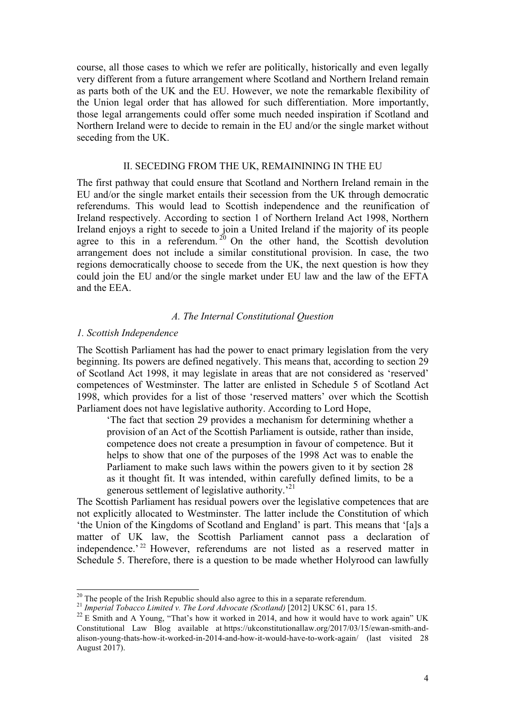course, all those cases to which we refer are politically, historically and even legally very different from a future arrangement where Scotland and Northern Ireland remain as parts both of the UK and the EU. However, we note the remarkable flexibility of the Union legal order that has allowed for such differentiation. More importantly, those legal arrangements could offer some much needed inspiration if Scotland and Northern Ireland were to decide to remain in the EU and/or the single market without seceding from the UK.

# II. SECEDING FROM THE UK, REMAININING IN THE EU

The first pathway that could ensure that Scotland and Northern Ireland remain in the EU and/or the single market entails their secession from the UK through democratic referendums. This would lead to Scottish independence and the reunification of Ireland respectively. According to section 1 of Northern Ireland Act 1998, Northern Ireland enjoys a right to secede to join a United Ireland if the majority of its people agree to this in a referendum.<sup>20</sup> On the other hand, the Scottish devolution arrangement does not include a similar constitutional provision. In case, the two regions democratically choose to secede from the UK, the next question is how they could join the EU and/or the single market under EU law and the law of the EFTA and the EEA.

## *A. The Internal Constitutional Question*

#### *1. Scottish Independence*

The Scottish Parliament has had the power to enact primary legislation from the very beginning. Its powers are defined negatively. This means that, according to section 29 of Scotland Act 1998, it may legislate in areas that are not considered as 'reserved' competences of Westminster. The latter are enlisted in Schedule 5 of Scotland Act 1998, which provides for a list of those 'reserved matters' over which the Scottish Parliament does not have legislative authority. According to Lord Hope,

'The fact that section 29 provides a mechanism for determining whether a provision of an Act of the Scottish Parliament is outside, rather than inside, competence does not create a presumption in favour of competence. But it helps to show that one of the purposes of the 1998 Act was to enable the Parliament to make such laws within the powers given to it by section 28 as it thought fit. It was intended, within carefully defined limits, to be a generous settlement of legislative authority.'<sup>21</sup>

The Scottish Parliament has residual powers over the legislative competences that are not explicitly allocated to Westminster. The latter include the Constitution of which 'the Union of the Kingdoms of Scotland and England' is part. This means that '[a]s a matter of UK law, the Scottish Parliament cannot pass a declaration of independence.<sup>' 22</sup> However, referendums are not listed as a reserved matter in Schedule 5. Therefore, there is a question to be made whether Holyrood can lawfully

<sup>&</sup>lt;sup>20</sup> The people of the Irish Republic should also agree to this in a separate referendum.<br><sup>21</sup> *Imperial Tobacco Limited v. The Lord Advocate (Scotland)* [2012] UKSC 61, para 15.

 $22$  E Smith and A Young, "That's how it worked in 2014, and how it would have to work again" UK Constitutional Law Blog available at https://ukconstitutionallaw.org/2017/03/15/ewan-smith-andalison-young-thats-how-it-worked-in-2014-and-how-it-would-have-to-work-again/ (last visited 28 August 2017).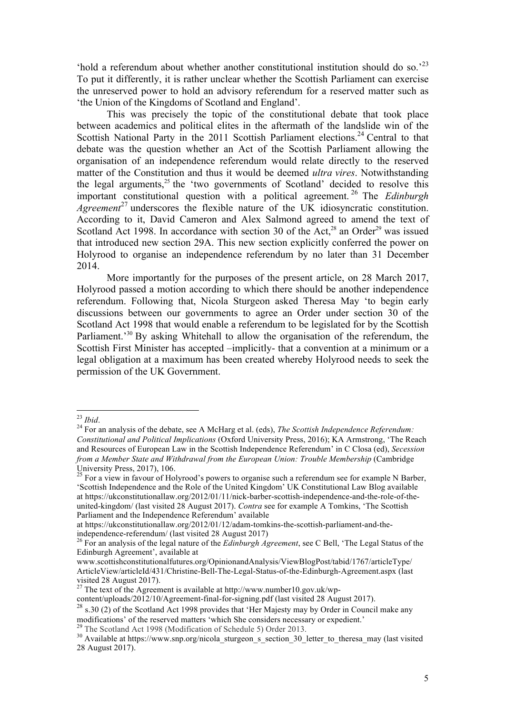'hold a referendum about whether another constitutional institution should do so.<sup>23</sup> To put it differently, it is rather unclear whether the Scottish Parliament can exercise the unreserved power to hold an advisory referendum for a reserved matter such as 'the Union of the Kingdoms of Scotland and England'.

This was precisely the topic of the constitutional debate that took place between academics and political elites in the aftermath of the landslide win of the Scottish National Party in the 2011 Scottish Parliament elections.<sup>24</sup> Central to that debate was the question whether an Act of the Scottish Parliament allowing the organisation of an independence referendum would relate directly to the reserved matter of the Constitution and thus it would be deemed *ultra vires*. Notwithstanding the legal arguments, $25$  the 'two governments of Scotland' decided to resolve this important constitutional question with a political agreement. <sup>26</sup> The *Edinburgh Agreement*<sup>27</sup> underscores the flexible nature of the UK idiosyncratic constitution. According to it, David Cameron and Alex Salmond agreed to amend the text of Scotland Act 1998. In accordance with section 30 of the Act.<sup>28</sup> an Order<sup>29</sup> was issued that introduced new section 29A. This new section explicitly conferred the power on Holyrood to organise an independence referendum by no later than 31 December 2014.

More importantly for the purposes of the present article, on 28 March 2017, Holyrood passed a motion according to which there should be another independence referendum. Following that, Nicola Sturgeon asked Theresa May 'to begin early discussions between our governments to agree an Order under section 30 of the Scotland Act 1998 that would enable a referendum to be legislated for by the Scottish Parliament.<sup>30</sup> By asking Whitehall to allow the organisation of the referendum, the Scottish First Minister has accepted –implicitly- that a convention at a minimum or a legal obligation at a maximum has been created whereby Holyrood needs to seek the permission of the UK Government.

<sup>&</sup>lt;sup>23</sup> *Ibid.* <sup>24</sup> For an analysis of the debate, see A McHarg et al. (eds), *The Scottish Independence Referendum: Constitutional and Political Implications* (Oxford University Press, 2016); KA Armstrong, 'The Reach and Resources of European Law in the Scottish Independence Referendum' in C Closa (ed), *Secession from a Member State and Withdrawal from the European Union: Trouble Membership (Cambridge)* University Press, 2017), 106.<br><sup>25</sup> For a view in favour of Holyrood's powers to organise such a referendum see for example N Barber,

<sup>&#</sup>x27;Scottish Independence and the Role of the United Kingdom' UK Constitutional Law Blog available at https://ukconstitutionallaw.org/2012/01/11/nick-barber-scottish-independence-and-the-role-of-theunited-kingdom/ (last visited 28 August 2017). *Contra* see for example A Tomkins, 'The Scottish Parliament and the Independence Referendum' available

at https://ukconstitutionallaw.org/2012/01/12/adam-tomkins-the-scottish-parliament-and-the-

<sup>&</sup>lt;sup>26</sup> For an analysis of the legal nature of the *Edinburgh Agreement*, see C Bell, 'The Legal Status of the Edinburgh Agreement', available at

www.scottishconstitutionalfutures.org/OpinionandAnalysis/ViewBlogPost/tabid/1767/articleType/ ArticleView/articleId/431/Christine-Bell-The-Legal-Status-of-the-Edinburgh-Agreement.aspx (last visited 28 August 2017).<br><sup>27</sup> The text of the Agreement is available at http://www.number10.gov.uk/wp-<br>content/uploads/2012/10/Agreement-final-for-signing.pdf (last visited 28 August 2017).

<sup>&</sup>lt;sup>28</sup> s.30 (2) of the Scotland Act 1998 provides that 'Her Majesty may by Order in Council make any modifications' of the reserved matters 'which She considers necessary or expedient.'

<sup>&</sup>lt;sup>29</sup> The Scotland Act 1998 (Modification of Schedule 5) Order 2013.<br><sup>30</sup> Available at https://www.snp.org/nicola\_sturgeon\_s\_section\_30\_letter\_to\_theresa\_may (last visited 28 August 2017).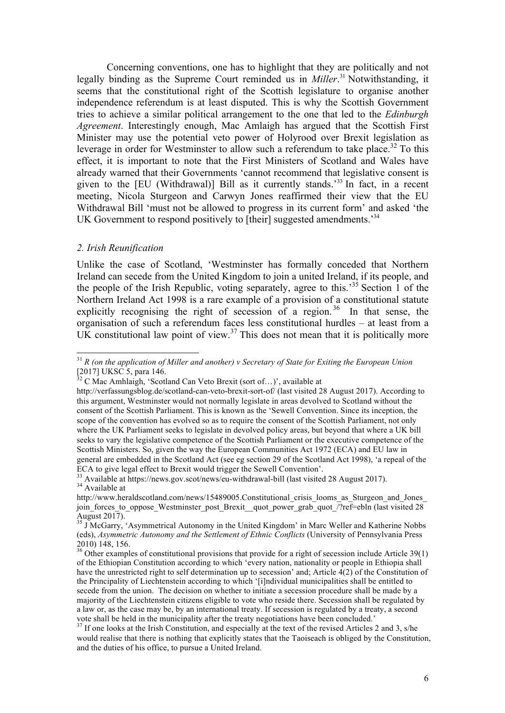Concerning conventions, one has to highlight that they are politically and not legally binding as the Supreme Court reminded us in *Miller*. <sup>31</sup> Notwithstanding, it seems that the constitutional right of the Scottish legislature to organise another independence referendum is at least disputed. This is why the Scottish Government tries to achieve a similar political arrangement to the one that led to the *Edinburgh Agreement*. Interestingly enough, Mac Amlaigh has argued that the Scottish First Minister may use the potential veto power of Holyrood over Brexit legislation as leverage in order for Westminster to allow such a referendum to take place.<sup>32</sup> To this effect, it is important to note that the First Ministers of Scotland and Wales have already warned that their Governments 'cannot recommend that legislative consent is given to the [EU (Withdrawal)] Bill as it currently stands.'33 In fact, in a recent meeting, Nicola Sturgeon and Carwyn Jones reaffirmed their view that the EU Withdrawal Bill 'must not be allowed to progress in its current form' and asked 'the UK Government to respond positively to [their] suggested amendments.<sup>34</sup>

# *2. Irish Reunification*

Unlike the case of Scotland, 'Westminster has formally conceded that Northern Ireland can secede from the United Kingdom to join a united Ireland, if its people, and the people of the Irish Republic, voting separately, agree to this.<sup>35</sup> Section 1 of the Northern Ireland Act 1998 is a rare example of a provision of a constitutional statute explicitly recognising the right of secession of a region.<sup>36</sup> In that sense, the organisation of such a referendum faces less constitutional hurdles – at least from a UK constitutional law point of view.<sup>37</sup> This does not mean that it is politically more

 <sup>31</sup> *R (on the application of Miller and another) v Secretary of State for Exiting the European Union*  [2017] UKSC 5, para 146.

<sup>&</sup>lt;sup>2</sup> C Mac Amhlaigh, 'Scotland Can Veto Brexit (sort of...)', available at

http://verfassungsblog.de/scotland-can-veto-brexit-sort-of/ (last visited 28 August 2017). According to this argument, Westminster would not normally legislate in areas devolved to Scotland without the consent of the Scottish Parliament. This is known as the 'Sewell Convention. Since its inception, the scope of the convention has evolved so as to require the consent of the Scottish Parliament, not only where the UK Parliament seeks to legislate in devolved policy areas, but beyond that where a UK bill seeks to vary the legislative competence of the Scottish Parliament or the executive competence of the Scottish Ministers. So, given the way the European Communities Act 1972 (ECA) and EU law in general are embedded in the Scotland Act (see eg section 29 of the Scotland Act 1998), 'a repeal of the ECA to give legal effect to Brexit would trigger the Sewell Convention'.

<sup>&</sup>lt;sup>33</sup> Available at https://news.gov.scot/news/eu-withdrawal-bill (last visited 28 August 2017).<br><sup>34</sup> Available at

http://www.heraldscotland.com/news/15489005.Constitutional\_crisis\_looms\_as\_Sturgeon\_and\_Jones join\_forces\_to\_oppose\_Westminster\_post\_Brexit\_quot\_power\_grab\_quot\_7?ref=ebln (last visited 28<br>August 2017)

<sup>&</sup>lt;sup>35</sup> J McGarry, 'Asymmetrical Autonomy in the United Kingdom' in Marc Weller and Katherine Nobbs (eds), *Asymmetric Autonomy and the Settlement of Ethnic Conflicts* (University of Pennsylvania Press 2010) 148, 156.

 $36$  Other examples of constitutional provisions that provide for a right of secession include Article 39(1) of the Ethiopian Constitution according to which 'every nation, nationality or people in Ethiopia shall have the unrestricted right to self determination up to secession' and; Article  $4(2)$  of the Constitution of the Principality of Liechtenstein according to which '[i]ndividual municipalities shall be entitled to secede from the union. The decision on whether to initiate a secession procedure shall be made by a majority of the Liechtenstein citizens eligible to vote who reside there. Secession shall be regulated by a law or, as the case may be, by an international treaty. If secession is regulated by a treaty, a second vote shall be held in the municipality after the treaty negotiations have been concluded.'

<sup>&</sup>lt;sup>37</sup> If one looks at the Irish Constitution, and especially at the text of the revised Articles 2 and 3, s/he would realise that there is nothing that explicitly states that the Taoiseach is obliged by the Constitution, and the duties of his office, to pursue a United Ireland.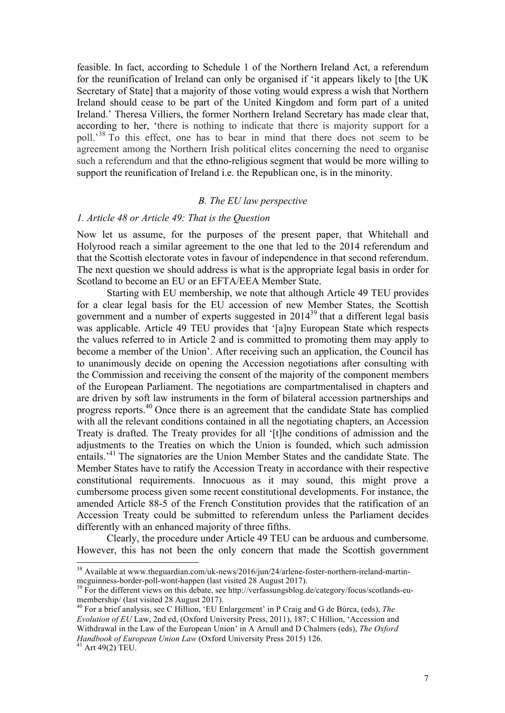feasible. In fact, according to Schedule 1 of the Northern Ireland Act, a referendum for the reunification of Ireland can only be organised if 'it appears likely to [the UK Secretary of State] that a majority of those voting would express a wish that Northern Ireland should cease to be part of the United Kingdom and form part of a united Ireland.' Theresa Villiers, the former Northern Ireland Secretary has made clear that, according to her, 'there is nothing to indicate that there is majority support for a poll.<sup>38</sup> To this effect, one has to bear in mind that there does not seem to be agreement among the Northern Irish political elites concerning the need to organise such a referendum and that the ethno-religious segment that would be more willing to support the reunification of Ireland i.e. the Republican one, is in the minority.

## *B. The EU law perspective*

## *1. Article 48 or Article 49: That is the Question*

Now let us assume, for the purposes of the present paper, that Whitehall and Holyrood reach a similar agreement to the one that led to the 2014 referendum and that the Scottish electorate votes in favour of independence in that second referendum. The next question we should address is what is the appropriate legal basis in order for Scotland to become an EU or an EFTA/EEA Member State.

Starting with EU membership, we note that although Article 49 TEU provides for a clear legal basis for the EU accession of new Member States, the Scottish government and a number of experts suggested in 201439 that a different legal basis was applicable. Article 49 TEU provides that '[a]ny European State which respects the values referred to in Article 2 and is committed to promoting them may apply to become a member of the Union'. After receiving such an application, the Council has to unanimously decide on opening the Accession negotiations after consulting with the Commission and receiving the consent of the majority of the component members of the European Parliament. The negotiations are compartmentalised in chapters and are driven by soft law instruments in the form of bilateral accession partnerships and progress reports.<sup>40</sup> Once there is an agreement that the candidate State has complied with all the relevant conditions contained in all the negotiating chapters, an Accession Treaty is drafted. The Treaty provides for all '[t]he conditions of admission and the adjustments to the Treaties on which the Union is founded, which such admission entails.<sup>41</sup> The signatories are the Union Member States and the candidate State. The Member States have to ratify the Accession Treaty in accordance with their respective constitutional requirements. Innocuous as it may sound, this might prove a cumbersome process given some recent constitutional developments. For instance, the amended Article 88-5 of the French Constitution provides that the ratification of an Accession Treaty could be submitted to referendum unless the Parliament decides differently with an enhanced majority of three fifths.

Clearly, the procedure under Article 49 TEU can be arduous and cumbersome. However, this has not been the only concern that made the Scottish government

 $38$  Available at www.theguardian.com/uk-news/2016/jun/24/arlene-foster-northern-ireland-martin-<br>meguinness-border-poll-wont-happen (last visited 28 August 2017).

 $^{39}$  For the different views on this debate, see http://verfassungsblog.de/category/focus/scotlands-eu-<br>membership/ (last visited 28 August 2017).

<sup>&</sup>lt;sup>40</sup> For a brief analysis, see C Hillion, 'EU Enlargement' in P Craig and G de Búrca, (eds), *The Evolution of EU* Law, 2nd ed, (Oxford University Press, 2011), 187; C Hillion, 'Accession and Withdrawal in the Law of the European Union' in A Arnull and D Chalmers (eds), *The Oxford Handbook of European Union Law* (Oxford University Press 2015) 126. <sup>41</sup> Art 49(2) TEU.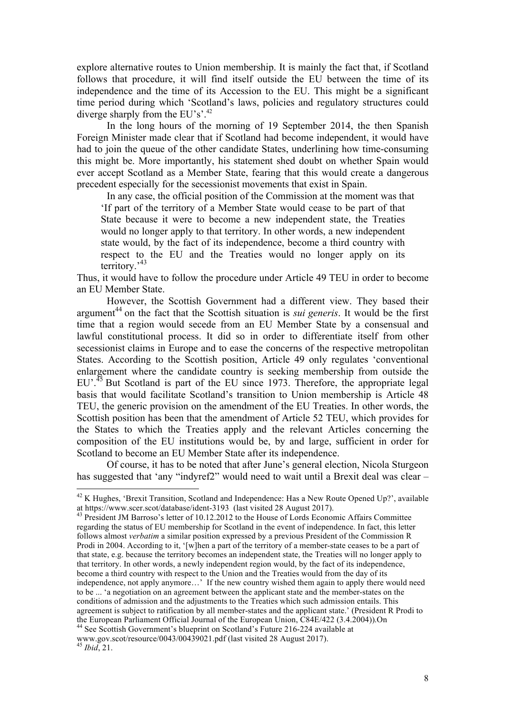explore alternative routes to Union membership. It is mainly the fact that, if Scotland follows that procedure, it will find itself outside the EU between the time of its independence and the time of its Accession to the EU. This might be a significant time period during which 'Scotland's laws, policies and regulatory structures could diverge sharply from the EU's'.<sup>42</sup>

In the long hours of the morning of 19 September 2014, the then Spanish Foreign Minister made clear that if Scotland had become independent, it would have had to join the queue of the other candidate States, underlining how time-consuming this might be. More importantly, his statement shed doubt on whether Spain would ever accept Scotland as a Member State, fearing that this would create a dangerous precedent especially for the secessionist movements that exist in Spain.

In any case, the official position of the Commission at the moment was that 'If part of the territory of a Member State would cease to be part of that State because it were to become a new independent state, the Treaties would no longer apply to that territory. In other words, a new independent state would, by the fact of its independence, become a third country with respect to the EU and the Treaties would no longer apply on its territory.'43

Thus, it would have to follow the procedure under Article 49 TEU in order to become an EU Member State.

However, the Scottish Government had a different view. They based their argument<sup>44</sup> on the fact that the Scottish situation is *sui generis*. It would be the first time that a region would secede from an EU Member State by a consensual and lawful constitutional process. It did so in order to differentiate itself from other secessionist claims in Europe and to ease the concerns of the respective metropolitan States. According to the Scottish position, Article 49 only regulates 'conventional enlargement where the candidate country is seeking membership from outside the EU'.<sup>45</sup> But Scotland is part of the EU since 1973. Therefore, the appropriate legal basis that would facilitate Scotland's transition to Union membership is Article 48 TEU, the generic provision on the amendment of the EU Treaties. In other words, the Scottish position has been that the amendment of Article 52 TEU, which provides for the States to which the Treaties apply and the relevant Articles concerning the composition of the EU institutions would be, by and large, sufficient in order for Scotland to become an EU Member State after its independence.

Of course, it has to be noted that after June's general election, Nicola Sturgeon has suggested that 'any "indyref2" would need to wait until a Brexit deal was clear –

regarding the status of EU membership for Scotland in the event of independence. In fact, this letter follows almost *verbatim* a similar position expressed by a previous President of the Commission R Prodi in 2004. According to it, '[w]hen a part of the territory of a member-state ceases to be a part of that state, e.g. because the territory becomes an independent state, the Treaties will no longer apply to that territory. In other words, a newly independent region would, by the fact of its independence, become a third country with respect to the Union and the Treaties would from the day of its independence, not apply anymore…' If the new country wished them again to apply there would need to be ... 'a negotiation on an agreement between the applicant state and the member-states on the conditions of admission and the adjustments to the Treaties which such admission entails. This agreement is subject to ratification by all member-states and the applicant state.' (President R Prodi to the European Parliament Official Journal of the European Union, C84E/422 (3.4.2004)).On <sup>44</sup> See Scottish Government's blueprint on Scotland's Future 216-224 available at

www.gov.scot/resource/0043/00439021.pdf (last visited 28 August 2017). <sup>45</sup> *Ibid*, 21.

 $42$  K Hughes, 'Brexit Transition, Scotland and Independence: Has a New Route Opened Up?', available at https://www.scer.scot/database/ident-3193 (last visited 28 August 2017). <sup>43</sup> President JM Barroso's letter of 10.12.2012 to the House of Lords Economic Affairs Committee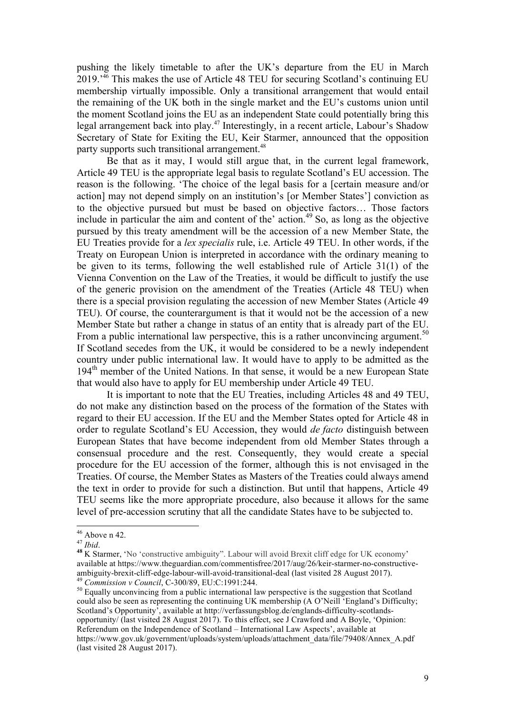pushing the likely timetable to after the UK's departure from the EU in March 2019.'46 This makes the use of Article 48 TEU for securing Scotland's continuing EU membership virtually impossible. Only a transitional arrangement that would entail the remaining of the UK both in the single market and the EU's customs union until the moment Scotland joins the EU as an independent State could potentially bring this legal arrangement back into play.47 Interestingly, in a recent article, Labour's Shadow Secretary of State for Exiting the EU, Keir Starmer, announced that the opposition party supports such transitional arrangement.<sup>48</sup>

Be that as it may, I would still argue that, in the current legal framework, Article 49 TEU is the appropriate legal basis to regulate Scotland's EU accession. The reason is the following. 'The choice of the legal basis for a [certain measure and/or action] may not depend simply on an institution's [or Member States'] conviction as to the objective pursued but must be based on objective factors… Those factors include in particular the aim and content of the' action.<sup>49</sup> So, as long as the objective pursued by this treaty amendment will be the accession of a new Member State, the EU Treaties provide for a *lex specialis* rule, i.e. Article 49 TEU. In other words, if the Treaty on European Union is interpreted in accordance with the ordinary meaning to be given to its terms, following the well established rule of Article 31(1) of the Vienna Convention on the Law of the Treaties, it would be difficult to justify the use of the generic provision on the amendment of the Treaties (Article 48 TEU) when there is a special provision regulating the accession of new Member States (Article 49 TEU). Of course, the counterargument is that it would not be the accession of a new Member State but rather a change in status of an entity that is already part of the EU. From a public international law perspective, this is a rather unconvincing argument.<sup>50</sup> If Scotland secedes from the UK, it would be considered to be a newly independent country under public international law. It would have to apply to be admitted as the 194<sup>th</sup> member of the United Nations. In that sense, it would be a new European State that would also have to apply for EU membership under Article 49 TEU.

It is important to note that the EU Treaties, including Articles 48 and 49 TEU, do not make any distinction based on the process of the formation of the States with regard to their EU accession. If the EU and the Member States opted for Article 48 in order to regulate Scotland's EU Accession, they would *de facto* distinguish between European States that have become independent from old Member States through a consensual procedure and the rest. Consequently, they would create a special procedure for the EU accession of the former, although this is not envisaged in the Treaties. Of course, the Member States as Masters of the Treaties could always amend the text in order to provide for such a distinction. But until that happens, Article 49 TEU seems like the more appropriate procedure, also because it allows for the same level of pre-accession scrutiny that all the candidate States have to be subjected to.

<sup>&</sup>lt;sup>46</sup> Above n 42.<br><sup>47</sup> *Ibid.* **48** K Starmer, 'No 'constructive ambiguity''. Labour will avoid Brexit cliff edge for UK economy' available at https://www.theguardian.com/commentisfree/2017/aug/26/keir-starmer-no-constructiveambiguity-brexit-cliff-edge-labour-will-avoid-transitional-deal (last visited 28 August 2017).<br><sup>49</sup> Commission v Council, C-300/89, EU:C:1991:244.<br><sup>50</sup> Equally unconvincing from a public international law perspective is t

could also be seen as representing the continuing UK membership (A O'Neill 'England's Difficulty; Scotland's Opportunity', available at http://verfassungsblog.de/englands-difficulty-scotlandsopportunity/ (last visited 28 August 2017). To this effect, see J Crawford and A Boyle, 'Opinion: Referendum on the Independence of Scotland – International Law Aspects', available at https://www.gov.uk/government/uploads/system/uploads/attachment\_data/file/79408/Annex\_A.pdf (last visited 28 August 2017).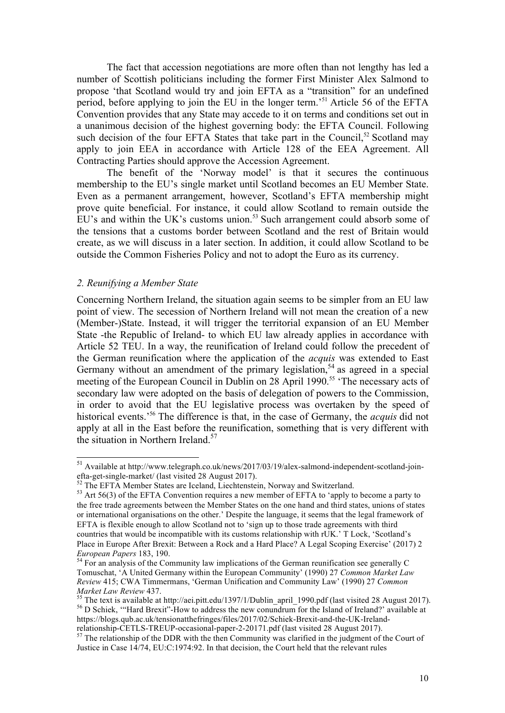The fact that accession negotiations are more often than not lengthy has led a number of Scottish politicians including the former First Minister Alex Salmond to propose 'that Scotland would try and join EFTA as a "transition" for an undefined period, before applying to join the EU in the longer term.' <sup>51</sup> Article 56 of the EFTA Convention provides that any State may accede to it on terms and conditions set out in a unanimous decision of the highest governing body: the EFTA Council. Following such decision of the four EFTA States that take part in the Council,<sup>52</sup> Scotland may apply to join EEA in accordance with Article 128 of the EEA Agreement. All Contracting Parties should approve the Accession Agreement.

The benefit of the 'Norway model' is that it secures the continuous membership to the EU's single market until Scotland becomes an EU Member State. Even as a permanent arrangement, however, Scotland's EFTA membership might prove quite beneficial. For instance, it could allow Scotland to remain outside the EU's and within the UK's customs union.<sup>53</sup> Such arrangement could absorb some of the tensions that a customs border between Scotland and the rest of Britain would create, as we will discuss in a later section. In addition, it could allow Scotland to be outside the Common Fisheries Policy and not to adopt the Euro as its currency.

# *2. Reunifying a Member State*

Concerning Northern Ireland, the situation again seems to be simpler from an EU law point of view. The secession of Northern Ireland will not mean the creation of a new (Member-)State. Instead, it will trigger the territorial expansion of an EU Member State -the Republic of Ireland- to which EU law already applies in accordance with Article 52 TEU. In a way, the reunification of Ireland could follow the precedent of the German reunification where the application of the *acquis* was extended to East Germany without an amendment of the primary legislation,<sup>54</sup> as agreed in a special meeting of the European Council in Dublin on 28 April 1990.<sup>55</sup> 'The necessary acts of secondary law were adopted on the basis of delegation of powers to the Commission, in order to avoid that the EU legislative process was overtaken by the speed of historical events.' <sup>56</sup> The difference is that, in the case of Germany, the *acquis* did not apply at all in the East before the reunification, something that is very different with the situation in Northern Ireland.<sup>57</sup>

https://blogs.qub.ac.uk/tensionatthefringes/files/2017/02/Schiek-Brexit-and-the-UK-Ireland-<br>relationship-CETLS-TREUP-occasional-paper-2-20171.pdf (last visited 28 August 2017).

 <sup>51</sup> Available at http://www.telegraph.co.uk/news/2017/03/19/alex-salmond-independent-scotland-join-

efta-get-single-market/ (last visited 28 August 2017).<br><sup>52</sup> The EFTA Member States are Iceland, Liechtenstein, Norway and Switzerland.<br><sup>53</sup> Art 56(3) of the EFTA Convention requires a new member of EFTA to 'apply to become the free trade agreements between the Member States on the one hand and third states, unions of states or international organisations on the other.' Despite the language, it seems that the legal framework of EFTA is flexible enough to allow Scotland not to 'sign up to those trade agreements with third countries that would be incompatible with its customs relationship with rUK.' T Lock, 'Scotland's Place in Europe After Brexit: Between a Rock and a Hard Place? A Legal Scoping Exercise' (2017) 2

*European Papers* 183, 190.<br><sup>54</sup> For an analysis of the Community law implications of the German reunification see generally C Tomuschat, 'A United Germany within the European Community' (1990) 27 *Common Market Law Review* 415; CWA Timmermans, 'German Unification and Community Law' (1990) 27 *Common* 

<sup>&</sup>lt;sup>55</sup> The text is available at http://aei.pitt.edu/1397/1/Dublin\_april\_1990.pdf (last visited 28 August 2017).<br><sup>56</sup> D Schiek, "Hard Brexit"-How to address the new conundrum for the Island of Ireland?' available at

 $<sup>57</sup>$  The relationship of the DDR with the then Community was clarified in the judgment of the Court of</sup> Justice in Case 14/74, EU:C:1974:92. In that decision, the Court held that the relevant rules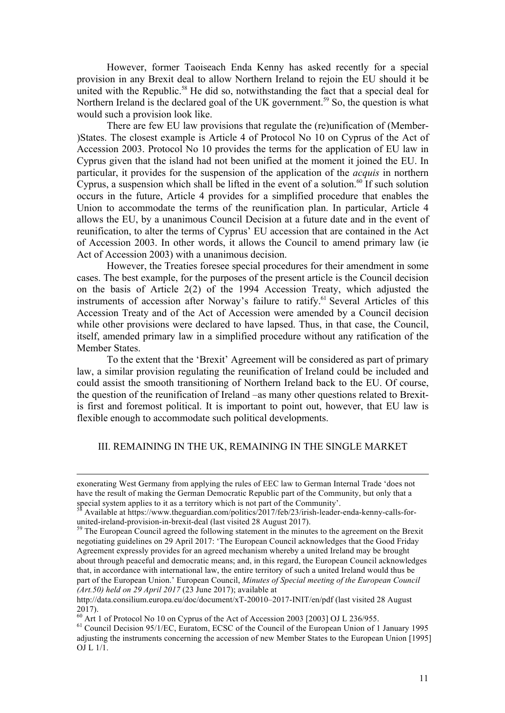However, former Taoiseach Enda Kenny has asked recently for a special provision in any Brexit deal to allow Northern Ireland to rejoin the EU should it be united with the Republic.<sup>58</sup> He did so, notwithstanding the fact that a special deal for Northern Ireland is the declared goal of the UK government.<sup>59</sup> So, the question is what would such a provision look like.

There are few EU law provisions that regulate the (re)unification of (Member- )States. The closest example is Article 4 of Protocol No 10 on Cyprus of the Act of Accession 2003. Protocol No 10 provides the terms for the application of EU law in Cyprus given that the island had not been unified at the moment it joined the EU. In particular, it provides for the suspension of the application of the *acquis* in northern Cyprus, a suspension which shall be lifted in the event of a solution.<sup>60</sup> If such solution occurs in the future, Article 4 provides for a simplified procedure that enables the Union to accommodate the terms of the reunification plan. In particular, Article 4 allows the EU, by a unanimous Council Decision at a future date and in the event of reunification, to alter the terms of Cyprus' EU accession that are contained in the Act of Accession 2003. In other words, it allows the Council to amend primary law (ie Act of Accession 2003) with a unanimous decision.

However, the Treaties foresee special procedures for their amendment in some cases. The best example, for the purposes of the present article is the Council decision on the basis of Article 2(2) of the 1994 Accession Treaty, which adjusted the instruments of accession after Norway's failure to ratify.<sup>61</sup> Several Articles of this Accession Treaty and of the Act of Accession were amended by a Council decision while other provisions were declared to have lapsed. Thus, in that case, the Council, itself, amended primary law in a simplified procedure without any ratification of the Member States.

To the extent that the 'Brexit' Agreement will be considered as part of primary law, a similar provision regulating the reunification of Ireland could be included and could assist the smooth transitioning of Northern Ireland back to the EU. Of course, the question of the reunification of Ireland –as many other questions related to Brexitis first and foremost political. It is important to point out, however, that EU law is flexible enough to accommodate such political developments.

# III. REMAINING IN THE UK, REMAINING IN THE SINGLE MARKET

 $\overline{a}$ 

exonerating West Germany from applying the rules of EEC law to German Internal Trade 'does not have the result of making the German Democratic Republic part of the Community, but only that a special system applies to it as a territory which is not part of the Community'.

Available at https://www.theguardian.com/politics/2017/feb/23/irish-leader-enda-kenny-calls-forunited-ireland-provision-in-brexit-deal (last visited 28 August 2017).<br><sup>59</sup> The European Council agreed the following statement in the minutes to the agreement on the Brexit

negotiating guidelines on 29 April 2017: 'The European Council acknowledges that the Good Friday Agreement expressly provides for an agreed mechanism whereby a united Ireland may be brought about through peaceful and democratic means; and, in this regard, the European Council acknowledges that, in accordance with international law, the entire territory of such a united Ireland would thus be part of the European Union.' European Council, *Minutes of Special meeting of the European Council (Art.50) held on 29 April 2017* (23 June 2017); available at

http://data.consilium.europa.eu/doc/document/xT-20010–2017-INIT/en/pdf (last visited 28 August 2017).<br>
<sup>60</sup> Art 1 of Protocol No 10 on Cyprus of the Act of Accession 2003 [2003] OJ L 236/955.

<sup>&</sup>lt;sup>61</sup> Council Decision 95/1/EC, Euratom, ECSC of the Council of the European Union of 1 January 1995 adjusting the instruments concerning the accession of new Member States to the European Union [1995] OJ L 1/1.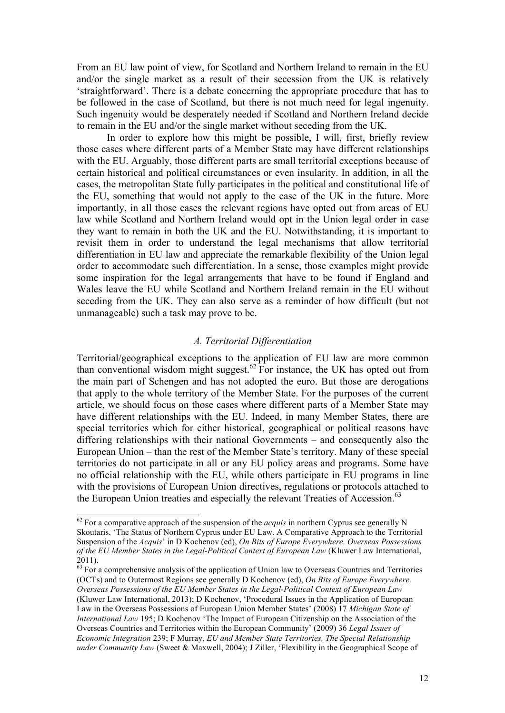From an EU law point of view, for Scotland and Northern Ireland to remain in the EU and/or the single market as a result of their secession from the UK is relatively 'straightforward'. There is a debate concerning the appropriate procedure that has to be followed in the case of Scotland, but there is not much need for legal ingenuity. Such ingenuity would be desperately needed if Scotland and Northern Ireland decide to remain in the EU and/or the single market without seceding from the UK.

In order to explore how this might be possible, I will, first, briefly review those cases where different parts of a Member State may have different relationships with the EU. Arguably, those different parts are small territorial exceptions because of certain historical and political circumstances or even insularity. In addition, in all the cases, the metropolitan State fully participates in the political and constitutional life of the EU, something that would not apply to the case of the UK in the future. More importantly, in all those cases the relevant regions have opted out from areas of EU law while Scotland and Northern Ireland would opt in the Union legal order in case they want to remain in both the UK and the EU. Notwithstanding, it is important to revisit them in order to understand the legal mechanisms that allow territorial differentiation in EU law and appreciate the remarkable flexibility of the Union legal order to accommodate such differentiation. In a sense, those examples might provide some inspiration for the legal arrangements that have to be found if England and Wales leave the EU while Scotland and Northern Ireland remain in the EU without seceding from the UK. They can also serve as a reminder of how difficult (but not unmanageable) such a task may prove to be.

#### *A. Territorial Differentiation*

Territorial/geographical exceptions to the application of EU law are more common than conventional wisdom might suggest.<sup>62</sup> For instance, the UK has opted out from the main part of Schengen and has not adopted the euro. But those are derogations that apply to the whole territory of the Member State. For the purposes of the current article, we should focus on those cases where different parts of a Member State may have different relationships with the EU. Indeed, in many Member States, there are special territories which for either historical, geographical or political reasons have differing relationships with their national Governments – and consequently also the European Union – than the rest of the Member State's territory. Many of these special territories do not participate in all or any EU policy areas and programs. Some have no official relationship with the EU, while others participate in EU programs in line with the provisions of European Union directives, regulations or protocols attached to the European Union treaties and especially the relevant Treaties of Accession.<sup>63</sup>

<sup>&</sup>lt;sup>62</sup> For a comparative approach of the suspension of the *acquis* in northern Cyprus see generally N Skoutaris, 'The Status of Northern Cyprus under EU Law. A Comparative Approach to the Territorial Suspension of the *Acquis*' in D Kochenov (ed), *On Bits of Europe Everywhere. Overseas Possessions of the EU Member States in the Legal-Political Context of European Law* (Kluwer Law International, 2011).

<sup>&</sup>lt;sup>63</sup> For a comprehensive analysis of the application of Union law to Overseas Countries and Territories (OCTs) and to Outermost Regions see generally D Kochenov (ed), *On Bits of Europe Everywhere. Overseas Possessions of the EU Member States in the Legal-Political Context of European Law*  (Kluwer Law International, 2013); D Kochenov, 'Procedural Issues in the Application of European Law in the Overseas Possessions of European Union Member States' (2008) 17 *Michigan State of International Law* 195; D Kochenov 'The Impact of European Citizenship on the Association of the Overseas Countries and Territories within the European Community' (2009) 36 *Legal Issues of Economic Integration* 239; F Murray, *EU and Member State Territories, The Special Relationship under Community Law* (Sweet & Maxwell, 2004); J Ziller, 'Flexibility in the Geographical Scope of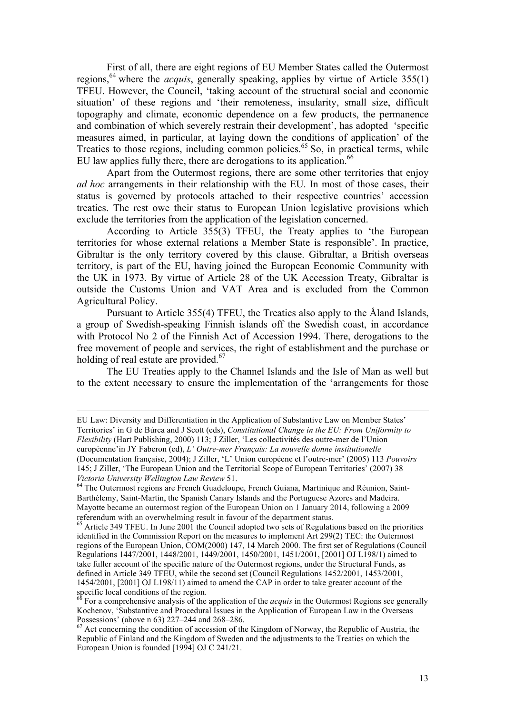First of all, there are eight regions of EU Member States called the Outermost regions, <sup>64</sup> where the *acquis*, generally speaking, applies by virtue of Article 355(1) TFEU. However, the Council, 'taking account of the structural social and economic situation' of these regions and 'their remoteness, insularity, small size, difficult topography and climate, economic dependence on a few products, the permanence and combination of which severely restrain their development', has adopted 'specific measures aimed, in particular, at laying down the conditions of application' of the Treaties to those regions, including common policies.<sup>65</sup> So, in practical terms, while EU law applies fully there, there are derogations to its application.<sup>66</sup>

Apart from the Outermost regions, there are some other territories that enjoy *ad hoc* arrangements in their relationship with the EU. In most of those cases, their status is governed by protocols attached to their respective countries' accession treaties. The rest owe their status to European Union legislative provisions which exclude the territories from the application of the legislation concerned.

According to Article 355(3) TFEU, the Treaty applies to 'the European territories for whose external relations a Member State is responsible'. In practice, Gibraltar is the only territory covered by this clause. Gibraltar, a British overseas territory, is part of the EU, having joined the European Economic Community with the UK in 1973. By virtue of Article 28 of the UK Accession Treaty, Gibraltar is outside the Customs Union and VAT Area and is excluded from the Common Agricultural Policy.

Pursuant to Article 355(4) TFEU, the Treaties also apply to the Åland Islands, a group of Swedish-speaking Finnish islands off the Swedish coast, in accordance with Protocol No 2 of the Finnish Act of Accession 1994. There, derogations to the free movement of people and services, the right of establishment and the purchase or holding of real estate are provided.<sup>67</sup>

The EU Treaties apply to the Channel Islands and the Isle of Man as well but to the extent necessary to ensure the implementation of the 'arrangements for those

l

EU Law: Diversity and Differentiation in the Application of Substantive Law on Member States' Territories' in G de Búrca and J Scott (eds), *Constitutional Change in the EU: From Uniformity to Flexibility* (Hart Publishing, 2000) 113; J Ziller, 'Les collectivités des outre-mer de l'Union européenne'in JY Faberon (ed), *L' Outre-mer Français: La nouvelle donne institutionelle* (Documentation française, 2004); J Ziller, 'L' Union européene et l'outre-mer' (2005) 113 *Pouvoirs* 145; J Ziller, 'The European Union and the Territorial Scope of European Territories' (2007) 38<br>Victoria University Wellington Law Review 51.

*Victoria University Wellington Law Review* 51. <sup>64</sup> The Outermost regions are French Guadeloupe, French Guiana, Martinique and Réunion, Saint-Barthélemy, Saint-Martin, the Spanish Canary Islands and the Portuguese Azores and Madeira. Mayotte became an outermost region of the European Union on 1 January 2014, following a 2009 referendum with an overwhelming result in favour of the department status.

 $65$  Article 349 TFEU. In June 2001 the Council adopted two sets of Regulations based on the priorities identified in the Commission Report on the measures to implement Art 299(2) TEC: the Outermost regions of the European Union, COM(2000) 147, 14 March 2000. The first set of Regulations (Council Regulations 1447/2001, 1448/2001, 1449/2001, 1450/2001, 1451/2001, [2001] OJ L198/1) aimed to take fuller account of the specific nature of the Outermost regions, under the Structural Funds, as defined in Article 349 TFEU, while the second set (Council Regulations 1452/2001, 1453/2001, 1454/2001, [2001] OJ L198/11) aimed to amend the CAP in order to take greater account of the specific local conditions of the region.

<sup>66</sup> For a comprehensive analysis of the application of the *acquis* in the Outermost Regions see generally Kochenov, 'Substantive and Procedural Issues in the Application of European Law in the Overseas Possessions' (above n 63) 227–244 and 268–286.<br><sup>67</sup> Act concerning the condition of accession of the Kingdom of Norway, the Republic of Austria, the

Republic of Finland and the Kingdom of Sweden and the adjustments to the Treaties on which the European Union is founded [1994] OJ C 241/21.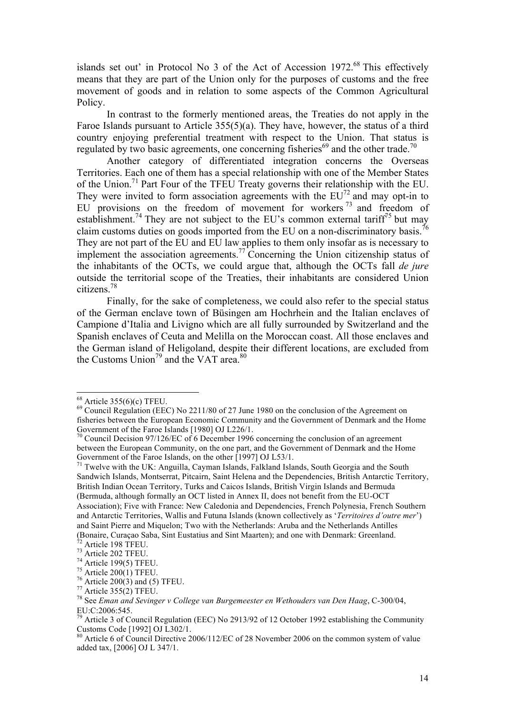islands set out' in Protocol No  $3$  of the Act of Accession 1972.<sup>68</sup> This effectively means that they are part of the Union only for the purposes of customs and the free movement of goods and in relation to some aspects of the Common Agricultural Policy.

In contrast to the formerly mentioned areas, the Treaties do not apply in the Faroe Islands pursuant to Article 355(5)(a). They have, however, the status of a third country enjoying preferential treatment with respect to the Union. That status is regulated by two basic agreements, one concerning fisheries<sup>69</sup> and the other trade.<sup>70</sup>

Another category of differentiated integration concerns the Overseas Territories. Each one of them has a special relationship with one of the Member States of the Union.71 Part Four of the TFEU Treaty governs their relationship with the EU. They were invited to form association agreements with the  $EU^{72}$  and may opt-in to EU provisions on the freedom of movement for workers<sup>73</sup> and freedom of establishment.<sup>74</sup> They are not subject to the EU's common external tariff<sup>75</sup> but may claim customs duties on goods imported from the EU on a non-discriminatory basis.<sup>76</sup> They are not part of the EU and EU law applies to them only insofar as is necessary to implement the association agreements.<sup>77</sup> Concerning the Union citizenship status of the inhabitants of the OCTs, we could argue that, although the OCTs fall *de jure* outside the territorial scope of the Treaties, their inhabitants are considered Union citizens.78

Finally, for the sake of completeness, we could also refer to the special status of the German enclave town of Büsingen am Hochrhein and the Italian enclaves of Campione d'Italia and Livigno which are all fully surrounded by Switzerland and the Spanish enclaves of Ceuta and Melilla on the Moroccan coast. All those enclaves and the German island of Heligoland, despite their different locations, are excluded from the Customs Union<sup>79</sup> and the VAT area.<sup>80</sup>

<sup>&</sup>lt;sup>68</sup> Article 355(6)(c) TFEU.<br><sup>69</sup> Council Regulation (EEC) No 2211/80 of 27 June 1980 on the conclusion of the Agreement on fisheries between the European Economic Community and the Government of Denmark and the Home Government of the Faroe Islands [1980] OJ L226/1.<br><sup>70</sup> Council Decision 97/126/EC of 6 December 1996 concerning the conclusion of an agreement

between the European Community, on the one part, and the Government of Denmark and the Home Government of the Faroe Islands, on the other [1997] OJ L53/1.<br><sup>71</sup> Twelve with the UK: Anguilla, Cayman Islands, Falkland Islands, South Georgia and the South

Sandwich Islands, Montserrat, Pitcairn, Saint Helena and the Dependencies, British Antarctic Territory, British Indian Ocean Territory, Turks and Caicos Islands, British Virgin Islands and Bermuda (Bermuda, although formally an OCT listed in Annex II, does not benefit from the EU-OCT Association); Five with France: New Caledonia and Dependencies, French Polynesia, French Southern and Antarctic Territories, Wallis and Futuna Islands (known collectively as '*Territoires d'outre mer*') and Saint Pierre and Miquelon; Two with the Netherlands: Aruba and the Netherlands Antilles (Bonaire, Curaçao Saba, Sint Eustatius and Sint Maarten); and one with Denmark: Greenland.

<sup>&</sup>lt;sup>72</sup> Article 198 TFEU.<br>
<sup>73</sup> Article 202 TFEU.<br>
<sup>74</sup> Article 199(5) TFEU.<br>
<sup>75</sup> Article 200(1) TFEU.<br>
<sup>76</sup> Article 200(3) and (5) TFEU.<br>
<sup>77</sup> Article 355(2) TFEU.<br>
<sup>77</sup> Article 355(2) TFEU.<br>
<sup>78</sup> See *Eman and Sevinger v* EU:C:2006:545.<br><sup>79</sup> Article 3 of Council Regulation (EEC) No 2913/92 of 12 October 1992 establishing the Community

Customs Code [1992] OJ L302/1.

<sup>&</sup>lt;sup>80</sup> Article 6 of Council Directive 2006/112/EC of 28 November 2006 on the common system of value added tax, [2006] OJ L 347/1.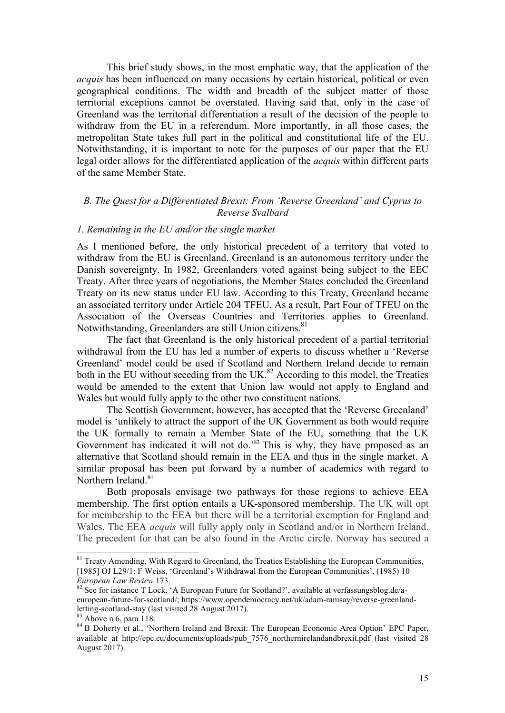This brief study shows, in the most emphatic way, that the application of the *acquis* has been influenced on many occasions by certain historical, political or even geographical conditions. The width and breadth of the subject matter of those territorial exceptions cannot be overstated. Having said that, only in the case of Greenland was the territorial differentiation a result of the decision of the people to withdraw from the EU in a referendum. More importantly, in all those cases, the metropolitan State takes full part in the political and constitutional life of the EU. Notwithstanding, it is important to note for the purposes of our paper that the EU legal order allows for the differentiated application of the *acquis* within different parts of the same Member State.

# *B. The Quest for a Differentiated Brexit: From 'Reverse Greenland' and Cyprus to Reverse Svalbard*

## *1. Remaining in the EU and/or the single market*

As I mentioned before, the only historical precedent of a territory that voted to withdraw from the EU is Greenland. Greenland is an autonomous territory under the Danish sovereignty. In 1982, Greenlanders voted against being subject to the EEC Treaty. After three years of negotiations, the Member States concluded the Greenland Treaty on its new status under EU law. According to this Treaty, Greenland became an associated territory under Article 204 TFEU. As a result, Part Four of TFEU on the Association of the Overseas Countries and Territories applies to Greenland. Notwithstanding, Greenlanders are still Union citizens.<sup>81</sup>

The fact that Greenland is the only historical precedent of a partial territorial withdrawal from the EU has led a number of experts to discuss whether a 'Reverse Greenland' model could be used if Scotland and Northern Ireland decide to remain both in the EU without seceding from the UK.<sup>82</sup> According to this model, the Treaties would be amended to the extent that Union law would not apply to England and Wales but would fully apply to the other two constituent nations.

The Scottish Government, however, has accepted that the 'Reverse Greenland' model is 'unlikely to attract the support of the UK Government as both would require the UK formally to remain a Member State of the EU, something that the UK Government has indicated it will not do.<sup>83</sup> This is why, they have proposed as an alternative that Scotland should remain in the EEA and thus in the single market. A similar proposal has been put forward by a number of academics with regard to Northern Ireland<sup>84</sup>

Both proposals envisage two pathways for those regions to achieve EEA membership. The first option entails a UK-sponsored membership. The UK will opt for membership to the EEA but there will be a territorial exemption for England and Wales. The EEA *acquis* will fully apply only in Scotland and/or in Northern Ireland. The precedent for that can be also found in the Arctic circle. Norway has secured a

<sup>&</sup>lt;sup>81</sup> Treaty Amending, With Regard to Greenland, the Treaties Establishing the European Communities, [1985] OJ L29/1; F Weiss, 'Greenland's Withdrawal from the European Communities', (1985) 10 *European Law Review* 173.<br><sup>82</sup> See for instance T Lock, 'A European Future for Scotland?', available at verfassungsblog.de/a-

european-future-for-scotland/; https://www.opendemocracy.net/uk/adam-ramsay/reverse-greenland-<br>letting-scotland-stay (last visited 28 August 2017).

 $\frac{83}{84}$  Above n 6, para 118. <br> $\frac{84}{8}$  B Doherty et al., 'Northern Ireland and Brexit: The European Economic Area Option' EPC Paper, available at http://epc.eu/documents/uploads/pub\_7576\_northernirelandandbrexit.pdf (last visited 28 August 2017).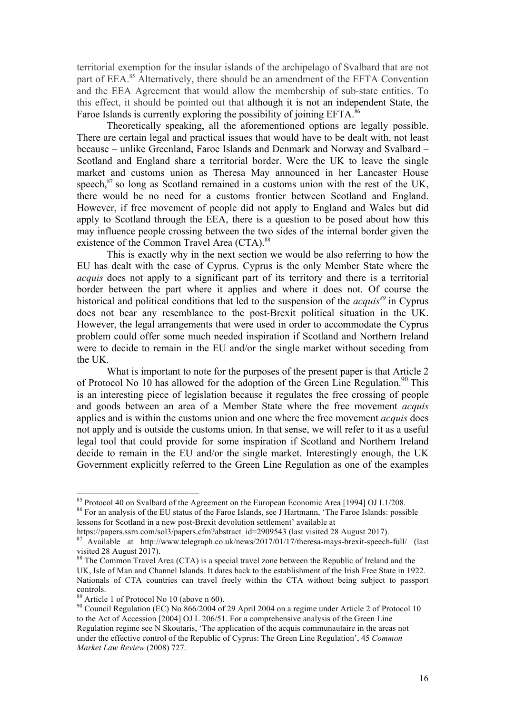territorial exemption for the insular islands of the archipelago of Svalbard that are not part of EEA.<sup>85</sup> Alternatively, there should be an amendment of the EFTA Convention and the EEA Agreement that would allow the membership of sub-state entities. To this effect, it should be pointed out that although it is not an independent State, the Faroe Islands is currently exploring the possibility of joining EFTA.<sup>86</sup>

Theoretically speaking, all the aforementioned options are legally possible. There are certain legal and practical issues that would have to be dealt with, not least because – unlike Greenland, Faroe Islands and Denmark and Norway and Svalbard – Scotland and England share a territorial border. Were the UK to leave the single market and customs union as Theresa May announced in her Lancaster House speech, $87$  so long as Scotland remained in a customs union with the rest of the UK, there would be no need for a customs frontier between Scotland and England. However, if free movement of people did not apply to England and Wales but did apply to Scotland through the EEA, there is a question to be posed about how this may influence people crossing between the two sides of the internal border given the existence of the Common Travel Area (CTA).<sup>88</sup>

This is exactly why in the next section we would be also referring to how the EU has dealt with the case of Cyprus. Cyprus is the only Member State where the *acquis* does not apply to a significant part of its territory and there is a territorial border between the part where it applies and where it does not. Of course the historical and political conditions that led to the suspension of the *acquis<sup>89</sup>* in Cyprus does not bear any resemblance to the post-Brexit political situation in the UK. However, the legal arrangements that were used in order to accommodate the Cyprus problem could offer some much needed inspiration if Scotland and Northern Ireland were to decide to remain in the EU and/or the single market without seceding from the UK.

What is important to note for the purposes of the present paper is that Article 2 of Protocol No 10 has allowed for the adoption of the Green Line Regulation.<sup>90</sup> This is an interesting piece of legislation because it regulates the free crossing of people and goods between an area of a Member State where the free movement *acquis*  applies and is within the customs union and one where the free movement *acquis* does not apply and is outside the customs union. In that sense, we will refer to it as a useful legal tool that could provide for some inspiration if Scotland and Northern Ireland decide to remain in the EU and/or the single market. Interestingly enough, the UK Government explicitly referred to the Green Line Regulation as one of the examples

<sup>&</sup>lt;sup>85</sup> Protocol 40 on Svalbard of the Agreement on the European Economic Area [1994] OJ L1/208.<br><sup>86</sup> For an analysis of the EU status of the Faroe Islands, see J Hartmann, 'The Faroe Islands: possible lessons for Scotland in a new post-Brexit devolution settlement' available at

https://papers.ssrn.com/sol3/papers.cfm?abstract\_id=2909543 (last visited 28 August 2017).<br><sup>87</sup> Available at http://www.telegraph.co.uk/news/2017/01/17/theresa-mays-brexit-speech-full/ (last

visited 28 August 2017).<br><sup>88</sup> The Common Travel Area (CTA) is a special travel zone between the Republic of Ireland and the

UK, Isle of Man and Channel Islands. It dates back to the establishment of the Irish Free State in 1922. Nationals of CTA countries can travel freely within the CTA without being subject to passport controls.<br><sup>89</sup> Article 1 of Protocol No 10 (above n 60).

<sup>&</sup>lt;sup>90</sup> Council Regulation (EC) No  $866/2004$  of 29 April 2004 on a regime under Article 2 of Protocol 10 to the Act of Accession [2004] OJ L 206/51. For a comprehensive analysis of the Green Line Regulation regime see N Skoutaris, 'The application of the acquis communautaire in the areas not under the effective control of the Republic of Cyprus: The Green Line Regulation', 45 *Common Market Law Review* (2008) 727.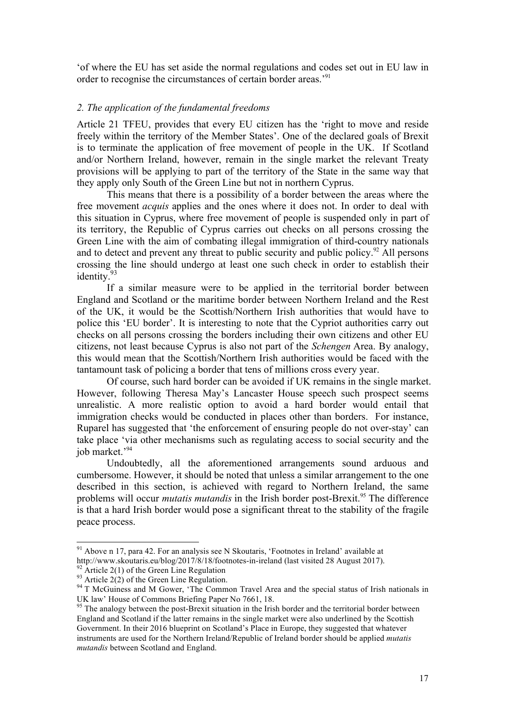'of where the EU has set aside the normal regulations and codes set out in EU law in order to recognise the circumstances of certain border areas.'91

# *2. The application of the fundamental freedoms*

Article 21 TFEU, provides that every EU citizen has the 'right to move and reside freely within the territory of the Member States'. One of the declared goals of Brexit is to terminate the application of free movement of people in the UK. If Scotland and/or Northern Ireland, however, remain in the single market the relevant Treaty provisions will be applying to part of the territory of the State in the same way that they apply only South of the Green Line but not in northern Cyprus.

This means that there is a possibility of a border between the areas where the free movement *acquis* applies and the ones where it does not. In order to deal with this situation in Cyprus, where free movement of people is suspended only in part of its territory, the Republic of Cyprus carries out checks on all persons crossing the Green Line with the aim of combating illegal immigration of third-country nationals and to detect and prevent any threat to public security and public policy.<sup>92</sup> All persons crossing the line should undergo at least one such check in order to establish their identity.<sup>93</sup>

If a similar measure were to be applied in the territorial border between England and Scotland or the maritime border between Northern Ireland and the Rest of the UK, it would be the Scottish/Northern Irish authorities that would have to police this 'EU border'. It is interesting to note that the Cypriot authorities carry out checks on all persons crossing the borders including their own citizens and other EU citizens, not least because Cyprus is also not part of the *Schengen* Area. By analogy, this would mean that the Scottish/Northern Irish authorities would be faced with the tantamount task of policing a border that tens of millions cross every year.

Of course, such hard border can be avoided if UK remains in the single market. However, following Theresa May's Lancaster House speech such prospect seems unrealistic. A more realistic option to avoid a hard border would entail that immigration checks would be conducted in places other than borders. For instance, Ruparel has suggested that 'the enforcement of ensuring people do not over-stay' can take place 'via other mechanisms such as regulating access to social security and the job market.' 94

Undoubtedly, all the aforementioned arrangements sound arduous and cumbersome. However, it should be noted that unless a similar arrangement to the one described in this section, is achieved with regard to Northern Ireland, the same problems will occur *mutatis mutandis* in the Irish border post-Brexit. <sup>95</sup> The difference is that a hard Irish border would pose a significant threat to the stability of the fragile peace process.

<sup>&</sup>lt;sup>91</sup> Above n 17, para 42. For an analysis see N Skoutaris, 'Footnotes in Ireland' available at http://www.skoutaris.eu/blog/2017/8/18/footnotes-in-ireland (last visited 28 August 2017).

<sup>&</sup>lt;sup>92</sup> Article 2(1) of the Green Line Regulation<br><sup>93</sup> Article 2(2) of the Green Line Regulation.<br><sup>94</sup> T McGuiness and M Gower, 'The Common Travel Area and the special status of Irish nationals in UK law' House of Commons Briefing Paper No 7661, 18.

<sup>&</sup>lt;sup>95</sup> The analogy between the post-Brexit situation in the Irish border and the territorial border between England and Scotland if the latter remains in the single market were also underlined by the Scottish Government. In their 2016 blueprint on Scotland's Place in Europe, they suggested that whatever instruments are used for the Northern Ireland/Republic of Ireland border should be applied *mutatis mutandis* between Scotland and England.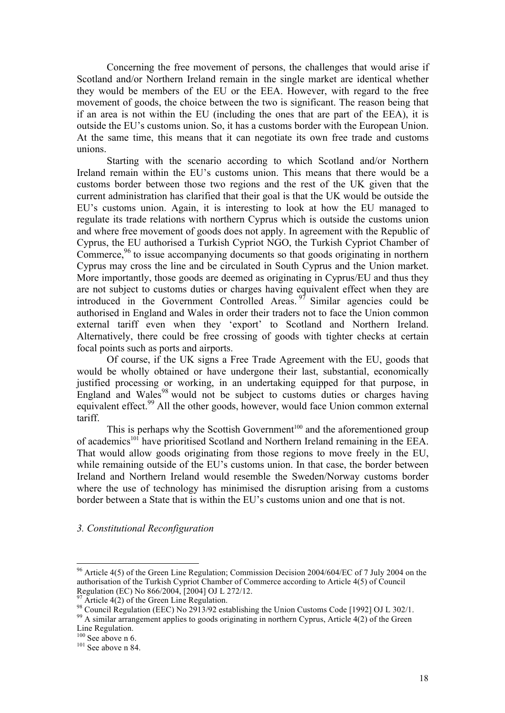Concerning the free movement of persons, the challenges that would arise if Scotland and/or Northern Ireland remain in the single market are identical whether they would be members of the EU or the EEA. However, with regard to the free movement of goods, the choice between the two is significant. The reason being that if an area is not within the EU (including the ones that are part of the EEA), it is outside the EU's customs union. So, it has a customs border with the European Union. At the same time, this means that it can negotiate its own free trade and customs unions.

Starting with the scenario according to which Scotland and/or Northern Ireland remain within the EU's customs union. This means that there would be a customs border between those two regions and the rest of the UK given that the current administration has clarified that their goal is that the UK would be outside the EU's customs union. Again, it is interesting to look at how the EU managed to regulate its trade relations with northern Cyprus which is outside the customs union and where free movement of goods does not apply. In agreement with the Republic of Cyprus, the EU authorised a Turkish Cypriot NGO, the Turkish Cypriot Chamber of Commerce,  $96$  to issue accompanying documents so that goods originating in northern Cyprus may cross the line and be circulated in South Cyprus and the Union market. More importantly, those goods are deemed as originating in Cyprus/EU and thus they are not subject to customs duties or charges having equivalent effect when they are introduced in the Government Controlled Areas.<sup>97</sup> Similar agencies could be authorised in England and Wales in order their traders not to face the Union common external tariff even when they 'export' to Scotland and Northern Ireland. Alternatively, there could be free crossing of goods with tighter checks at certain focal points such as ports and airports.

Of course, if the UK signs a Free Trade Agreement with the EU, goods that would be wholly obtained or have undergone their last, substantial, economically justified processing or working, in an undertaking equipped for that purpose, in England and Wales<sup>98</sup> would not be subject to customs duties or charges having equivalent effect.<sup>99</sup> All the other goods, however, would face Union common external tariff.

This is perhaps why the Scottish Government<sup>100</sup> and the aforementioned group of academics<sup>101</sup> have prioritised Scotland and Northern Ireland remaining in the EEA. That would allow goods originating from those regions to move freely in the EU, while remaining outside of the EU's customs union. In that case, the border between Ireland and Northern Ireland would resemble the Sweden/Norway customs border where the use of technology has minimised the disruption arising from a customs border between a State that is within the EU's customs union and one that is not.

*3. Constitutional Reconfiguration*

<sup>&</sup>lt;sup>96</sup> Article 4(5) of the Green Line Regulation; Commission Decision 2004/604/EC of 7 July 2004 on the authorisation of the Turkish Cypriot Chamber of Commerce according to Article 4(5) of Council Regulation (EC) No 866/2004, [2004] OJ L 272/12.

<sup>&</sup>lt;sup>97</sup> Article 4(2) of the Green Line Regulation.<br><sup>98</sup> Council Regulation (EEC) No 2913/92 establishing the Union Customs Code [1992] OJ L 302/1.<br><sup>99</sup> A similar arrangement applies to goods originating in northern Cyprus, A

Line Regulation.

 $\frac{100}{101}$  See above n 6.<br> $\frac{101}{101}$  See above n 84.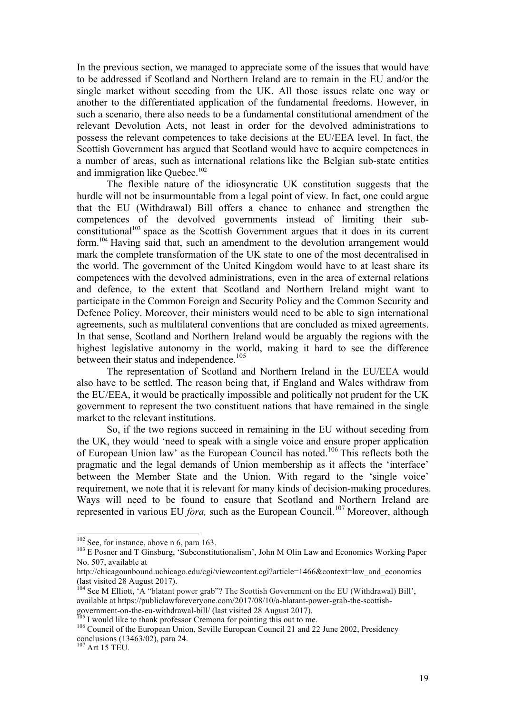In the previous section, we managed to appreciate some of the issues that would have to be addressed if Scotland and Northern Ireland are to remain in the EU and/or the single market without seceding from the UK. All those issues relate one way or another to the differentiated application of the fundamental freedoms. However, in such a scenario, there also needs to be a fundamental constitutional amendment of the relevant Devolution Acts, not least in order for the devolved administrations to possess the relevant competences to take decisions at the EU/EEA level. In fact, the Scottish Government has argued that Scotland would have to acquire competences in a number of areas, such as international relations like the Belgian sub-state entities and immigration like Quebec.<sup>102</sup>

The flexible nature of the idiosyncratic UK constitution suggests that the hurdle will not be insurmountable from a legal point of view. In fact, one could argue that the EU (Withdrawal) Bill offers a chance to enhance and strengthen the competences of the devolved governments instead of limiting their subconstitutional<sup>103</sup> space as the Scottish Government argues that it does in its current form.<sup>104</sup> Having said that, such an amendment to the devolution arrangement would mark the complete transformation of the UK state to one of the most decentralised in the world. The government of the United Kingdom would have to at least share its competences with the devolved administrations, even in the area of external relations and defence, to the extent that Scotland and Northern Ireland might want to participate in the Common Foreign and Security Policy and the Common Security and Defence Policy. Moreover, their ministers would need to be able to sign international agreements, such as multilateral conventions that are concluded as mixed agreements. In that sense, Scotland and Northern Ireland would be arguably the regions with the highest legislative autonomy in the world, making it hard to see the difference between their status and independence.<sup>105</sup>

The representation of Scotland and Northern Ireland in the EU/EEA would also have to be settled. The reason being that, if England and Wales withdraw from the EU/EEA, it would be practically impossible and politically not prudent for the UK government to represent the two constituent nations that have remained in the single market to the relevant institutions.

So, if the two regions succeed in remaining in the EU without seceding from the UK, they would 'need to speak with a single voice and ensure proper application of European Union law' as the European Council has noted.<sup>106</sup> This reflects both the pragmatic and the legal demands of Union membership as it affects the 'interface' between the Member State and the Union. With regard to the 'single voice' requirement, we note that it is relevant for many kinds of decision-making procedures. Ways will need to be found to ensure that Scotland and Northern Ireland are represented in various EU *fora,* such as the European Council.107 Moreover, although

<sup>&</sup>lt;sup>102</sup> See, for instance, above n 6, para 163.<br><sup>103</sup> E Posner and T Ginsburg, 'Subconstitutionalism', John M Olin Law and Economics Working Paper No. 507, available at

http://chicagounbound.uchicago.edu/cgi/viewcontent.cgi?article=1466&context=law\_and\_economics (last visited 28 August 2017).

<sup>&</sup>lt;sup>104</sup> See M Elliott, 'A "blatant power grab"? The Scottish Government on the EU (Withdrawal) Bill', available at https://publiclawforeveryone.com/2017/08/10/a-blatant-power-grab-the-scottishgovernment-on-the-eu-withdrawal-bill/ (last visited 28 August 2017).<br><sup>105</sup> I would like to thank professor Cremona for pointing this out to me.<br><sup>106</sup> Council of the European Union, Seville European Council 21 and 22 June

conclusions (13463/02), para 24.

 $107$  Art 15 TEU.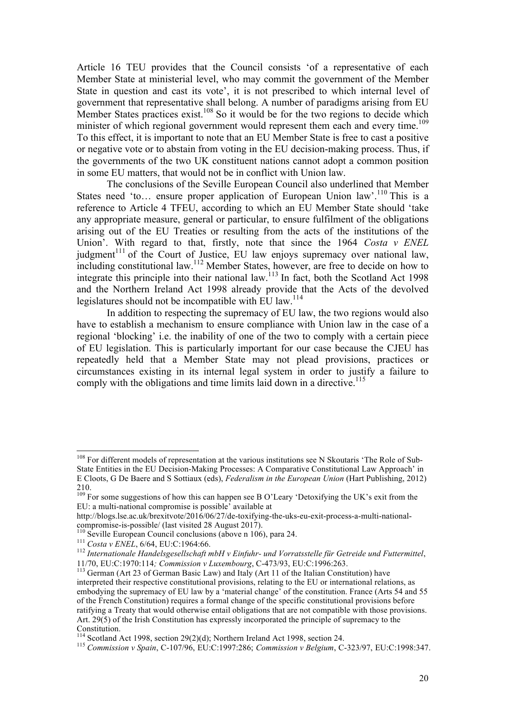Article 16 TEU provides that the Council consists 'of a representative of each Member State at ministerial level, who may commit the government of the Member State in question and cast its vote', it is not prescribed to which internal level of government that representative shall belong. A number of paradigms arising from EU Member States practices exist.<sup>108</sup> So it would be for the two regions to decide which minister of which regional government would represent them each and every time.<sup>109</sup> To this effect, it is important to note that an EU Member State is free to cast a positive or negative vote or to abstain from voting in the EU decision-making process. Thus, if the governments of the two UK constituent nations cannot adopt a common position in some EU matters, that would not be in conflict with Union law.

The conclusions of the Seville European Council also underlined that Member States need 'to... ensure proper application of European Union law'.<sup>110</sup> This is a reference to Article 4 TFEU, according to which an EU Member State should 'take any appropriate measure, general or particular, to ensure fulfilment of the obligations arising out of the EU Treaties or resulting from the acts of the institutions of the Union'. With regard to that, firstly, note that since the 1964 *Costa v ENEL* judgment $111$  of the Court of Justice, EU law enjoys supremacy over national law, including constitutional law.<sup>112</sup> Member States, however, are free to decide on how to integrate this principle into their national law. $113$  In fact, both the Scotland Act 1998 and the Northern Ireland Act 1998 already provide that the Acts of the devolved legislatures should not be incompatible with EU law.<sup>114</sup>

In addition to respecting the supremacy of EU law, the two regions would also have to establish a mechanism to ensure compliance with Union law in the case of a regional 'blocking' i.e. the inability of one of the two to comply with a certain piece of EU legislation. This is particularly important for our case because the CJEU has repeatedly held that a Member State may not plead provisions, practices or circumstances existing in its internal legal system in order to justify a failure to comply with the obligations and time limits laid down in a directive.<sup>115</sup>

 $108$  For different models of representation at the various institutions see N Skoutaris 'The Role of Sub-State Entities in the EU Decision-Making Processes: A Comparative Constitutional Law Approach' in E Cloots, G De Baere and S Sottiaux (eds), *Federalism in the European Union* (Hart Publishing, 2012) 210.

 $109 \text{ F}$  For some suggestions of how this can happen see B O'Leary 'Detoxifying the UK's exit from the EU: a multi-national compromise is possible' available at

http://blogs.lse.ac.uk/brexitvote/2016/06/27/de-toxifying-the-uks-eu-exit-process-a-multi-national-<br>compromise-is-possible/ (last visited 28 August 2017).

<sup>&</sup>lt;sup>110</sup> Seville European Council conclusions (above n 106), para 24.<br><sup>111</sup> Costa v ENEL, 6/64, EU:C:1964:66.<br><sup>112</sup> Internationale Handelsgesellschaft mbH v Einfuhr- und Vorratsstelle für Getreide und Futtermittel,<br>11/70. EU

<sup>&</sup>lt;sup>113</sup> German (Art 23 of German Basic Law) and Italy (Art 11 of the Italian Constitution) have interpreted their respective constitutional provisions, relating to the EU or international relations, as embodying the supremacy of EU law by a 'material change' of the constitution. France (Arts 54 and 55 of the French Constitution) requires a formal change of the specific constitutional provisions before ratifying a Treaty that would otherwise entail obligations that are not compatible with those provisions. Art. 29(5) of the Irish Constitution has expressly incorporated the principle of supremacy to the Constitution.

<sup>114</sup> Scotland Act 1998, section 29(2)(d); Northern Ireland Act 1998, section 24. <sup>115</sup> *Commission v Spain*, C-107/96, EU:C:1997:286; *Commission v Belgium*, C-323/97, EU:C:1998:347.